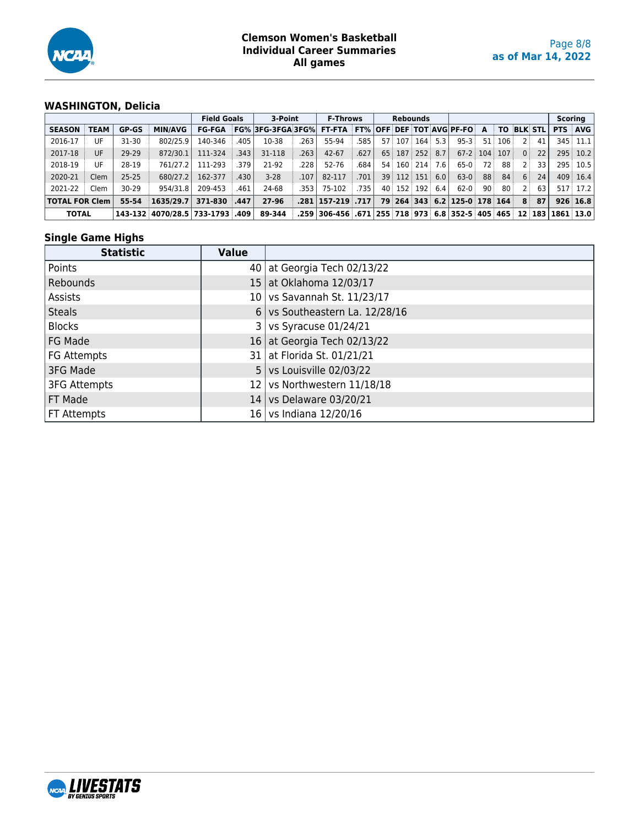

# **WASHINGTON, Delicia**

|                       |             | <b>Field Goals</b> |                                 | 3-Point       |      | <b>F-Throws</b>                                    |        | <b>Rebounds</b>                                        |      |     |     |               |     |                             |    |     | <b>Scoring</b> |                 |            |             |
|-----------------------|-------------|--------------------|---------------------------------|---------------|------|----------------------------------------------------|--------|--------------------------------------------------------|------|-----|-----|---------------|-----|-----------------------------|----|-----|----------------|-----------------|------------|-------------|
| <b>SEASON</b>         | <b>TEAM</b> | <b>GP-GS</b>       | <b>MIN/AVG</b>                  | <b>FG-FGA</b> |      | FG% 3FG-3FGA 3FG% FT-FTA FT% OFF DEF TOT AVG PF-FO |        |                                                        |      |     |     |               |     |                             | A  | ΤO  | <b>BLK STL</b> |                 | <b>PTS</b> | <b>AVG</b>  |
| 2016-17               | UF          | $31 - 30$          | 802/25.9                        | 140-346       | 405  | 10-38                                              | 263    | 55-94                                                  | 585  | 57. | 107 | 164           | 5.3 | $95 - 3$                    | 51 | 106 | 2:             | 41              |            | $345$ 11.1  |
| 2017-18               | UF          | 29-29              | 872/30.1                        | 111-324       | .343 | 31-118                                             | .263   | $42 - 67$                                              | .627 | 65  | 187 | 252           | 8.7 | $67-2$ 104                  |    | 107 | 0 <sup>1</sup> | 22              | 295        | 10.2        |
| 2018-19               | UF          | 28-19              | 761/27.2                        | 111-293       | 379  | 21-92                                              | .228   | 52-76                                                  | .684 | 54  |     | 160 214       | 7.6 | $65-0$                      | 72 | 88  | 2              | 33 <sub>1</sub> | 295        | 10.5        |
| 2020-21               | Clem        | $25 - 25$          | 680/27.2                        | 162-377       | .430 | $3-28$                                             | .107   | 82-117                                                 | .701 | 39  | 112 | 151           | 6.0 | $63-0$                      | 88 | 84  | 6              | 24              |            | $409$ 16.4  |
| 2021-22               | Clem        | $30 - 29$          | 954/31.8                        | 209-453       | .461 | 24-68                                              | .353 l | 75-102                                                 | .735 | 40  |     | $152$ 192 6.4 |     | $62-0$                      | 90 | 80  | 2              | 63              |            | 517 17.2    |
| <b>TOTAL FOR Clem</b> |             | 55-54              | 1635/29.7                       | 371-830       | .447 | 27-96                                              |        | .281   157-219   .717                                  |      | 79  |     |               |     | $264$ 343 6.2 125-0 178 164 |    |     | 8              | 87              |            | 926 16.8    |
| <b>TOTAL</b>          |             |                    | 143-132 4070/28.5 733-1793 .409 |               |      | 89-344                                             |        | .259 306-456 .671 255 718 973 6.8 352-5 405 465 12 183 |      |     |     |               |     |                             |    |     |                |                 |            | $1861$ 13.0 |

### **Single Game Highs**

| <b>Statistic</b>    | <b>Value</b>    |                               |
|---------------------|-----------------|-------------------------------|
| Points              |                 | 40   at Georgia Tech 02/13/22 |
| Rebounds            | 15 <sub>1</sub> | at Oklahoma 12/03/17          |
| Assists             |                 | 10 vs Savannah St. 11/23/17   |
| <b>Steals</b>       | 6 <sup>1</sup>  | vs Southeastern La. 12/28/16  |
| <b>Blocks</b>       |                 | vs Syracuse 01/24/21          |
| FG Made             |                 | 16 at Georgia Tech 02/13/22   |
| FG Attempts         |                 | 31   at Florida St. 01/21/21  |
| 3FG Made            | 5 <sup>1</sup>  | vs Louisville 02/03/22        |
| <b>3FG Attempts</b> | 12 <sup>1</sup> | vs Northwestern 11/18/18      |
| FT Made             | 14              | vs Delaware 03/20/21          |
| FT Attempts         | 16 I            | vs Indiana 12/20/16           |

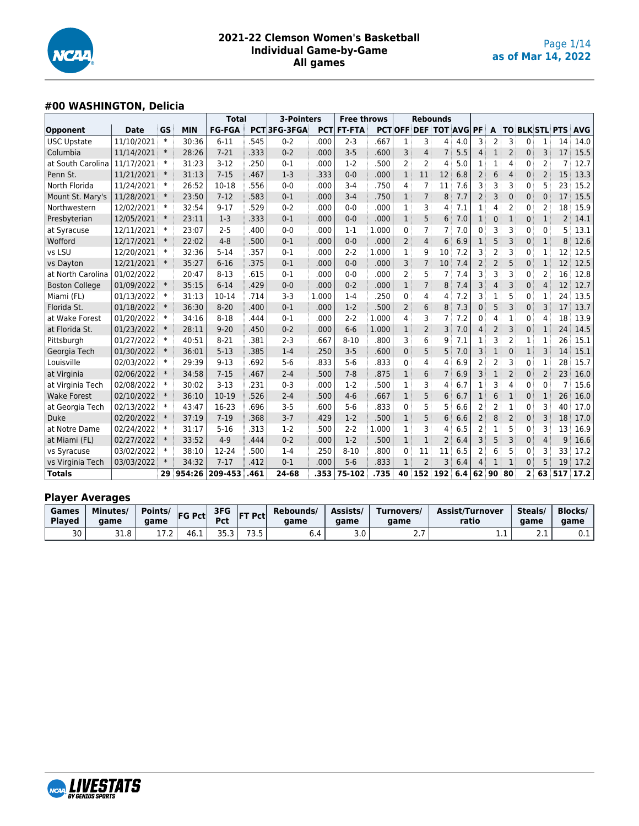

# **#00 WASHINGTON, Delicia**

|                       |             |        |            | <b>Total</b>  |      | 3-Pointers  |            | <b>Free throws</b> |       |                | <b>Rebounds</b>              |                |     |                |                |                |                       |                |                |            |
|-----------------------|-------------|--------|------------|---------------|------|-------------|------------|--------------------|-------|----------------|------------------------------|----------------|-----|----------------|----------------|----------------|-----------------------|----------------|----------------|------------|
| <b>Opponent</b>       | <b>Date</b> | GS     | <b>MIN</b> | <b>FG-FGA</b> |      | PCT3FG-3FGA | <b>PCT</b> | <b>FT-FTA</b>      |       |                | <b>PCTOFF DEF TOT AVG PF</b> |                |     |                | A              |                | <b>TO BLK STL PTS</b> |                |                | <b>AVG</b> |
| <b>USC Upstate</b>    | 11/10/2021  | $\ast$ | 30:36      | $6 - 11$      | .545 | $0 - 2$     | .000       | $2 - 3$            | .667  | $\mathbf{1}$   | 3                            | 4              | 4.0 | 3              | $\overline{2}$ | 3              | $0^{\frac{1}{3}}$     | $\mathbf{1}$   | 14             | 14.0       |
| Columbia              | 11/14/2021  | $\ast$ | 28:26      | $7 - 21$      | .333 | $0 - 2$     | .000       | $3 - 5$            | .600  | 3              | 4                            | $\overline{7}$ | 5.5 | 4              | $\mathbf{1}$   | $\overline{2}$ | 0                     | 3              | 17             | 15.5       |
| at South Carolina     | 11/17/2021  | $\ast$ | 31:23      | $3-12$        | .250 | $0 - 1$     | .000       | $1-2$              | .500  | $\overline{2}$ | $\overline{2}$               | 4              | 5.0 | $\mathbf{1}$   | 1              | 4              | 0                     | $\overline{2}$ | 7              | 12.7       |
| Penn St.              | 11/21/2021  | $\ast$ | 31:13      | $7 - 15$      | .467 | $1-3$       | .333       | $0 - 0$            | .000  | $\mathbf{1}$   | 11                           | 12             | 6.8 | $\overline{2}$ | 6              | 4              | 0                     | $\overline{2}$ | 15             | 13.3       |
| North Florida         | 11/24/2021  | $\ast$ | 26:52      | 10-18         | .556 | $0 - 0$     | .000       | $3 - 4$            | .750  | 4              | 7                            | 11             | 7.6 | 3              | 3              | 3              | 0                     | 5              | 23             | 15.2       |
| Mount St. Mary's      | 11/28/2021  | $\ast$ | 23:50      | $7 - 12$      | .583 | $0 - 1$     | .000       | $3 - 4$            | .750  | $\mathbf{1}$   | $\overline{7}$               | 8              | 7.7 | $\overline{2}$ | 3              | 0              | 0                     | $\mathbf 0$    | 17             | 15.5       |
| Northwestern          | 12/02/2021  | $\ast$ | 32:54      | $9 - 17$      | .529 | $0 - 2$     | .000       | $0 - 0$            | .000  | $\mathbf{1}$   | 3                            | 4              | 7.1 | 1              | 4              | 2              | 0                     | $\overline{2}$ | 18             | 15.9       |
| Presbyterian          | 12/05/2021  | $\ast$ | 23:11      | $1-3$         | .333 | $0 - 1$     | .000       | $0-0$              | .000  | $\mathbf{1}$   | 5                            | 6              | 7.0 | $\mathbf{1}$   | $\mathbf 0$    | 1              | 0                     | $\mathbf{1}$   | $\overline{2}$ | 14.1       |
| at Syracuse           | 12/11/2021  | $\ast$ | 23:07      | $2 - 5$       | .400 | $0 - 0$     | .000       | $1 - 1$            | 1.000 | $\mathbf{0}$   | $\overline{7}$               | $\overline{7}$ | 7.0 | $\mathbf{0}$   | 3              | 3              | 0                     | $\mathbf{0}$   | 5              | 13.1       |
| Wofford               | 12/17/2021  | $\ast$ | 22:02      | $4 - 8$       | .500 | $0 - 1$     | .000       | $0 - 0$            | .000  | $\overline{2}$ | 4                            | 6              | 6.9 | $\mathbf{1}$   | 5              | 3              | 0                     | $\mathbf{1}$   | 8              | 12.6       |
| vs LSU                | 12/20/2021  | $\ast$ | 32:36      | $5 - 14$      | .357 | $0 - 1$     | .000       | $2 - 2$            | 1.000 | $\mathbf{1}$   | 9                            | 10             | 7.2 | 3              | 2              | 3              | 0                     | 1              | 12             | 12.5       |
| vs Dayton             | 12/21/2021  | $\ast$ | 35:27      | $6 - 16$      | .375 | $0 - 1$     | .000       | $0 - 0$            | .000  | 3              | $\overline{7}$               | 10             | 7.4 | $\overline{2}$ | $\overline{2}$ | 5              | 0                     | $\mathbf{1}$   | 12             | 12.5       |
| at North Carolina     | 01/02/2022  |        | 20:47      | $8 - 13$      | .615 | $0 - 1$     | .000       | $0 - 0$            | .000  | $\overline{2}$ | 5                            | 7              | 7.4 | 3              | 3              | 3              | 0                     | $\overline{2}$ | 16             | 12.8       |
| <b>Boston College</b> | 01/09/2022  | $\ast$ | 35:15      | $6 - 14$      | .429 | $0 - 0$     | .000       | $0 - 2$            | .000  | $\mathbf{1}$   | $\overline{7}$               | 8              | 7.4 | 3              | 4              | 3              | 0                     | $\overline{4}$ | 12             | 12.7       |
| Miami (FL)            | 01/13/2022  | $\ast$ | 31:13      | 10-14         | .714 | $3 - 3$     | 1.000      | $1 - 4$            | .250  | $\mathbf{0}$   | 4                            | 4              | 7.2 | 3              | 1              | 5              | 0                     | $\mathbf{1}$   | 24             | 13.5       |
| Florida St.           | 01/18/2022  | $\ast$ | 36:30      | $8 - 20$      | .400 | $0 - 1$     | .000       | $1-2$              | .500  | 2              | 6                            | 8              | 7.3 | $\mathbf{0}$   | 5              | 3              | 0                     | 3              | 17             | 13.7       |
| at Wake Forest        | 01/20/2022  | $\ast$ | 34:16      | $8 - 18$      | .444 | $0 - 1$     | .000       | $2 - 2$            | 1.000 | 4              | 3                            | 7              | 7.2 | 0              | 4              | 1              | 0 <sup>3</sup>        | 4              | 18             | 13.9       |
| at Florida St.        | 01/23/2022  | $\ast$ | 28:11      | $9 - 20$      | .450 | $0 - 2$     | .000       | $6-6$              | 1.000 | $\mathbf{1}$   | $\overline{2}$               | 3              | 7.0 | $\overline{4}$ | $\overline{2}$ | 3              | 0                     | $\mathbf{1}$   | 24             | 14.5       |
| Pittsburgh            | 01/27/2022  | $\ast$ | 40:51      | $8 - 21$      | .381 | $2 - 3$     | .667       | $8 - 10$           | .800  | 3              | 6                            | 9              | 7.1 | 1              | 3              | 2              | 1                     | 1              | 26             | 15.1       |
| Georgia Tech          | 01/30/2022  | $\ast$ | 36:01      | $5 - 13$      | .385 | $1 - 4$     | .250       | $3 - 5$            | .600  | 0              | 5                            | 5              | 7.0 | 3              | $\mathbf{1}$   | $\mathbf 0$    | $1^{\frac{1}{2}}$     | 3              | 14             | 15.1       |
| Louisville            | 02/03/2022  | $\ast$ | 29:39      | $9 - 13$      | .692 | $5-6$       | .833       | $5-6$              | .833  | 0              | 4                            | 4              | 6.9 | $\overline{2}$ | 2              | 3              | 0                     | 1              | 28             | 15.7       |
| at Virginia           | 02/06/2022  | $\ast$ | 34:58      | $7 - 15$      | .467 | $2 - 4$     | .500       | $7 - 8$            | .875  | $\mathbf{1}$   | 6                            | $\overline{7}$ | 6.9 | 3              | $\mathbf{1}$   | $\overline{2}$ | 0                     | $\overline{2}$ | 23             | 16.0       |
| at Virginia Tech      | 02/08/2022  | $\ast$ | 30:02      | $3-13$        | .231 | $0 - 3$     | .000       | $1 - 2$            | .500  | $\mathbf{1}$   | 3                            | 4              | 6.7 | $\mathbf{1}$   | 3              | 4              | 0                     | $\mathbf{0}$   | 7              | 15.6       |
| <b>Wake Forest</b>    | 02/10/2022  | $\ast$ | 36:10      | 10-19         | .526 | $2 - 4$     | .500       | $4 - 6$            | .667  | $\mathbf{1}$   | 5                            | 6              | 6.7 | $\mathbf{1}$   | 6              | $\mathbf{1}$   | 0                     | $\mathbf{1}$   | 26             | 16.0       |
| at Georgia Tech       | 02/13/2022  | $\ast$ | 43:47      | 16-23         | .696 | $3 - 5$     | .600       | $5 - 6$            | .833  | $\mathbf{0}$   | 5                            | 5              | 6.6 | $\overline{2}$ | 2              | 1              | 0                     | 3              | 40             | 17.0       |
| Duke                  | 02/20/2022  | $\ast$ | 37:19      | $7 - 19$      | .368 | $3 - 7$     | .429       | $1-2$              | .500  | $\mathbf{1}$   | 5                            | 6              | 6.6 | $\overline{2}$ | 8              | $\overline{2}$ | 0                     | $\overline{3}$ | 18             | 17.0       |
| at Notre Dame         | 02/24/2022  | $\ast$ | 31:17      | $5 - 16$      | .313 | $1-2$       | .500       | $2 - 2$            | 1.000 | $\mathbf{1}$   | 3                            | 4              | 6.5 | 2              | $\mathbf{1}$   | 5              | 0                     | 3              | 13             | 16.9       |
| at Miami (FL)         | 02/27/2022  | $\ast$ | 33:52      | $4 - 9$       | .444 | $0 - 2$     | .000       | $1-2$              | .500  | $\mathbf{1}$   | $\mathbf{1}$                 | $\overline{2}$ | 6.4 | 3              | 5              | 3              | 0                     | $\overline{4}$ | 9              | 16.6       |
| vs Syracuse           | 03/02/2022  | $\ast$ | 38:10      | 12-24         | .500 | $1 - 4$     | .250       | $8 - 10$           | .800  | 0              | 11                           | 11             | 6.5 | 2              | 6              | 5              | 0                     | 3              | 33             | 17.2       |
| vs Virginia Tech      | 03/03/2022  | $\ast$ | 34:32      | $7 - 17$      | .412 | $0 - 1$     | .000       | $5-6$              | .833  | $\mathbf{1}$   | $\overline{2}$               | 3              | 6.4 | 4              | 1              | 1              | 0                     | 5              | 19             | 17.2       |
| <b>Totals</b>         |             |        | 29 954:26  | 209-453       | .461 | 24-68       | .353       | 75-102             | .735  |                | 40 152 192                   |                | 6.4 |                | 62 90 80       |                | $2^+$                 | 63             |                | 517 17.2   |

#### **Player Averages**

| Games<br><b>Played</b> | Minutes/<br>aame | Points/<br>aame                     | Pct                 | 3FG<br><b>Pct</b> | $T$ Pct | Rebounds/<br>aame | Assists/<br>aame | Turnovers/<br>aame | Assist/Turnover<br>ratio | <b>Steals</b><br>aame | <b>Blocks</b><br>game |
|------------------------|------------------|-------------------------------------|---------------------|-------------------|---------|-------------------|------------------|--------------------|--------------------------|-----------------------|-----------------------|
| 30                     | --<br>റ<br>ט.⊥כ  | $\overline{\phantom{a}}$<br>- 1 . 4 | $\sim$<br>46 F<br>. | つに<br>---         |         | 0.4               | J.U              |                    | .                        |                       | ∪.⊥                   |